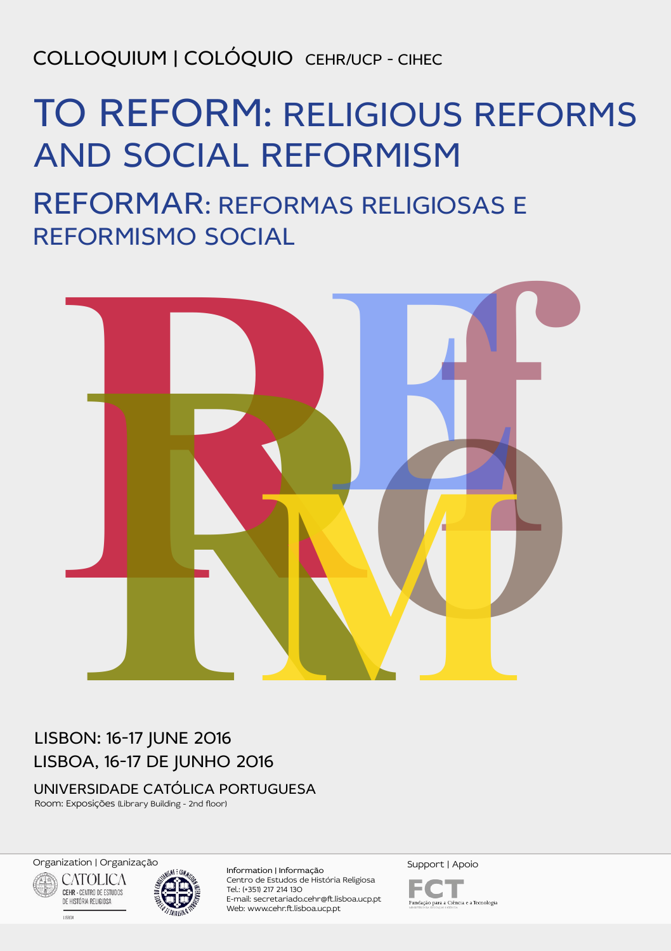COLLOQUIUM | COLÓQUIO CEHR/UCP - CIHEC

# TO REFORM: RELIGIOUS REFORMS AND SOCIAL REFORMISM

REFORMAR: REFORMAS RELIGIOSAS E REFORMISMO SOCIAL



# LISBON: 16-17 JUNE 2016 LISBOA, 16-17 DE JUNHO 2016

UNIVERSIDADE CATÓLICA PORTUGUESA

Room: Exposições (Library Building - 2nd floor)

Organization | Organizaç[ão](http://www.cihec.org/) Support | Apoio **CATOLICA** CEHR - CENTRO DE ESTUDOS

DE HISTÓRIA RELIGIOSA

**LISSON** 



Information | Informação Centro de Estudos de História Religiosa Tel.: (+351) 217 214 130 E-mail: secretariado.cehr@ft.lisboa.ucp.pt Web: www.cehr.ft.lisboa.ucp.pt

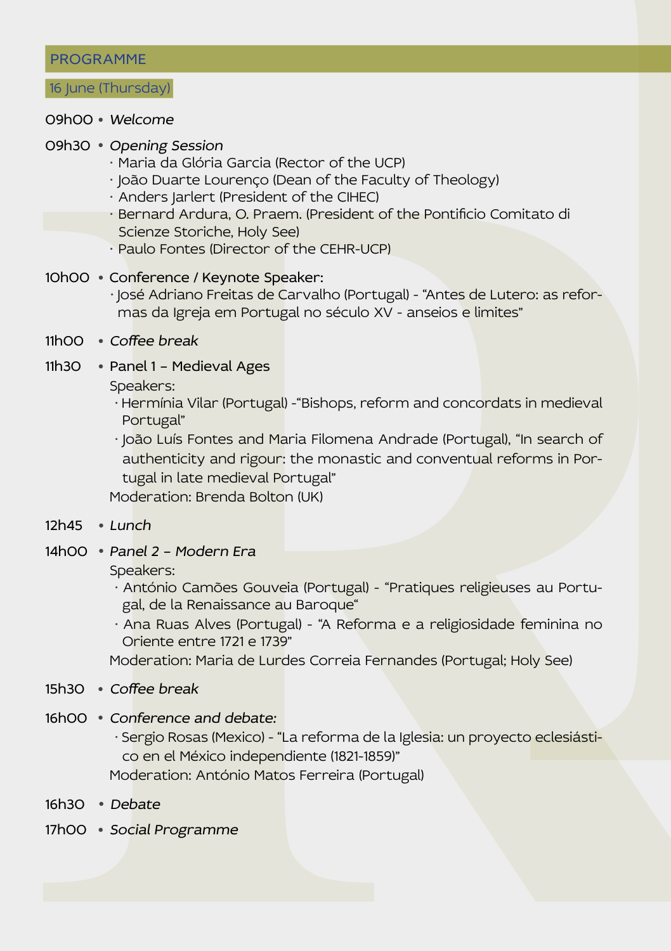# PROGRAMME

#### 16 June (Thursday)

# 09h00 ● Welcome

#### 09h30 ● Opening Session

- $\cdot$  Maria da Glória Garcia (Rector of the UCP)
- · João Duarte Lourenco (Dean of the Faculty of Theology)
- · Anders Jarlert (President of the CIHEC)
- $\cdot$  Bernard Ardura, O. Praem. (President of the Pontificio Comitato di Scienze Storiche, Holy See)
- $\cdot$  Paulo Fontes (Director of the CEHR-UCP)
- 10h00 Conference / Keynote Speaker:
	- · José Adriano Freitas de Carvalho (Portugal) "Antes de Lutero: as reformas da Igreja em Portugal no século XV - anseios e limites"
- 11h00 Coffee break
- 11h30 Panel 1 Medieval Ages

Speakers:

- Hermínia Vilar (Portugal) -"Bishops, reform and concordats in medieval Portugal"
- **PROGRAMME**<br> **RRBAG Opening Season**<br> **RRBAG Opening Season**<br> **RRBAG Opening Season**<br>
 PAD Unit at coverage Obset of the Grad by of Theology)<br>
 Andres Jariert (President of the Gregory Christopher Combinato di<br>
Se · João Luís Fontes and Maria Filomena Andrade (Portugal), "In search of authenticity and rigour: the monastic and conventual reforms in Portugal in late medieval Portugal"

Moderation: Brenda Bolton (UK)

- $12h45$  Lunch
- 14h00 Panel 2 Modern Era

Speakers:

- · António Camões Gouveia (Portugal) "Pratiques religieuses au Portugal, de la Renaissance au Baroque"
- Ana Ruas Alves (Portugal) "A Reforma e a religiosidade feminina no Oriente entre 1721 e 1739"

Moderation: Maria de Lurdes Correia Fernandes (Portugal; Holy See)

- 15h30 Coffee break
- 16h00 Conference and debate:
	- Sergio Rosas (Mexico) "La reforma de la Iglesia: un proyecto eclesiástico en el México independiente (1821-1859)"

Moderation: António Matos Ferreira (Portugal)

- 16h30 Debate
- 17h00 Social Programme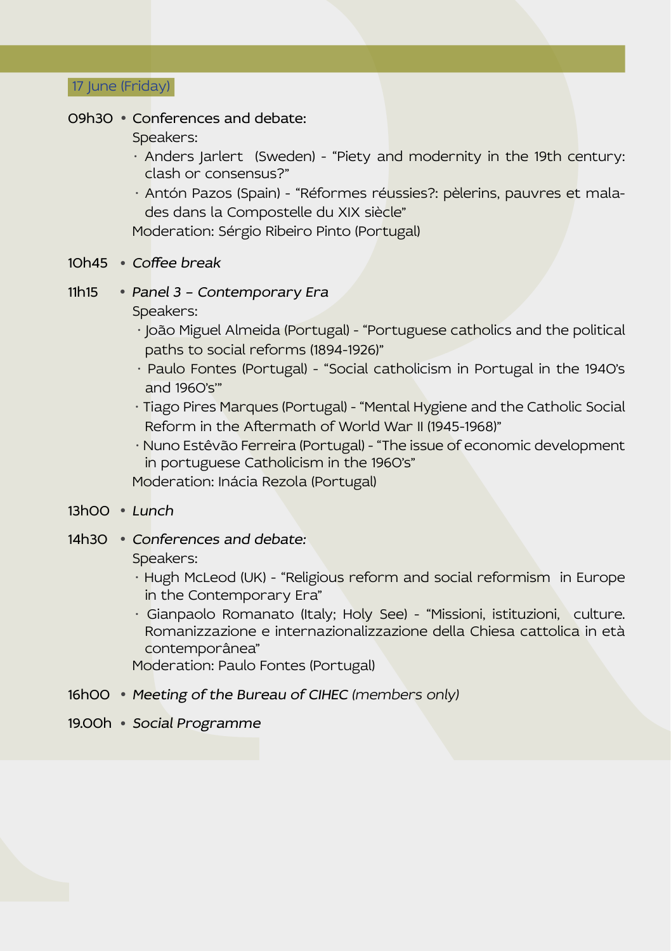17 June (Friday)

#### 09h30 ● Conferences and debate:

Speakers:

- $\cdot$  Anders Jarlert (Sweden) "Piety and modernity in the 19th century: clash or consensus?"
- · Antón Pazos (Spain) "Réformes réussies?: pèlerins, pauvres et malades dans la Compostelle du XIX siècle"

Moderation: Sérgio Ribeiro Pinto (Portugal)

- 10h45 Coffee break
- 11h15 Panel 3 Contemporary Era Speakers:
	- João Miguel Almeida (Portugal) "Portuguese catholics and the political paths to social reforms (1894-1926)"
	- · Paulo Fontes (Portugal) "Social catholicism in Portugal in the 1940's and 1960's'"
	- Tiago Pires Marques (Portugal) "Mental Hygiene and the Catholic Social Reform in the Aftermath of World War II (1945-1968)"
	- Nuno Estêvão Ferreira (Portugal) "The issue of economic development in portuguese Catholicism in the 1960's"

Moderation: Inácia Rezola (Portugal)

- $13hOO + I$ unch
- 14h30 Conferences and debate:

Speakers:

- Hugh McLeod (UK) "Religious reform and social reformism in Europe in the Contemporary Era"
- **Example 18 and debate.**<br>
Species:<br>
Species:<br>
Species: and debate.<br>
Species: and debate.<br>
Anders justices: Sweeten's Triety and modernity in the 19th century:<br>
Anders also Compostelli culture Response (above).<br>
Species:<br>
M ● Gianpaolo Romanato (Italy; Holy See) - "Missioni, istituzioni, culture. Romanizzazione e internazionalizzazione della Chiesa cattolica in età contemporânea"

Moderation: Paulo Fontes (Portugal)

- 16h00 Meeting of the Bureau of CIHEC (members only)
- 19.00h Social Programme